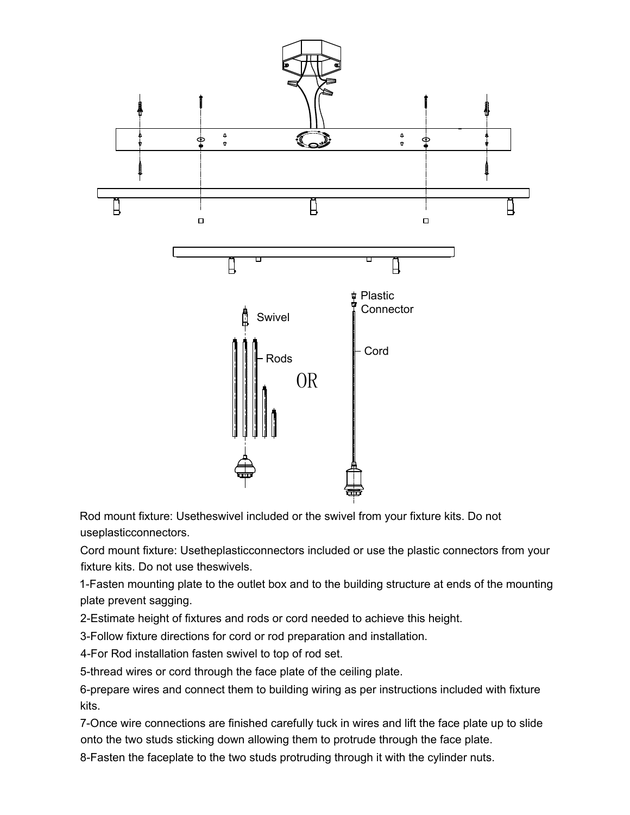

Rod mount fixture: Usetheswivel included or the swivel from your fixture kits. Do not useplasticconnectors.

Cord mount fixture: Usetheplasticconnectors included or use the plastic connectors from your fixture kits. Do not use theswivels.

1-Fasten mounting plate to the outlet box and to the building structure at ends of the mounting plate prevent sagging.

2-Estimate height of fixtures and rods or cord needed to achieve this height.

3-Follow fixture directions for cord or rod preparation and installation.

4-For Rod installation fasten swivel to top of rod set.

5-thread wires or cord through the face plate of the ceiling plate.

6-prepare wires and connect them to building wiring as per instructions included with fixture kits.

7-Once wire connections are finished carefully tuck in wires and lift the face plate up to slide onto the two studs sticking down allowing them to protrude through the face plate.

8-Fasten the faceplate to the two studs protruding through it with the cylinder nuts.